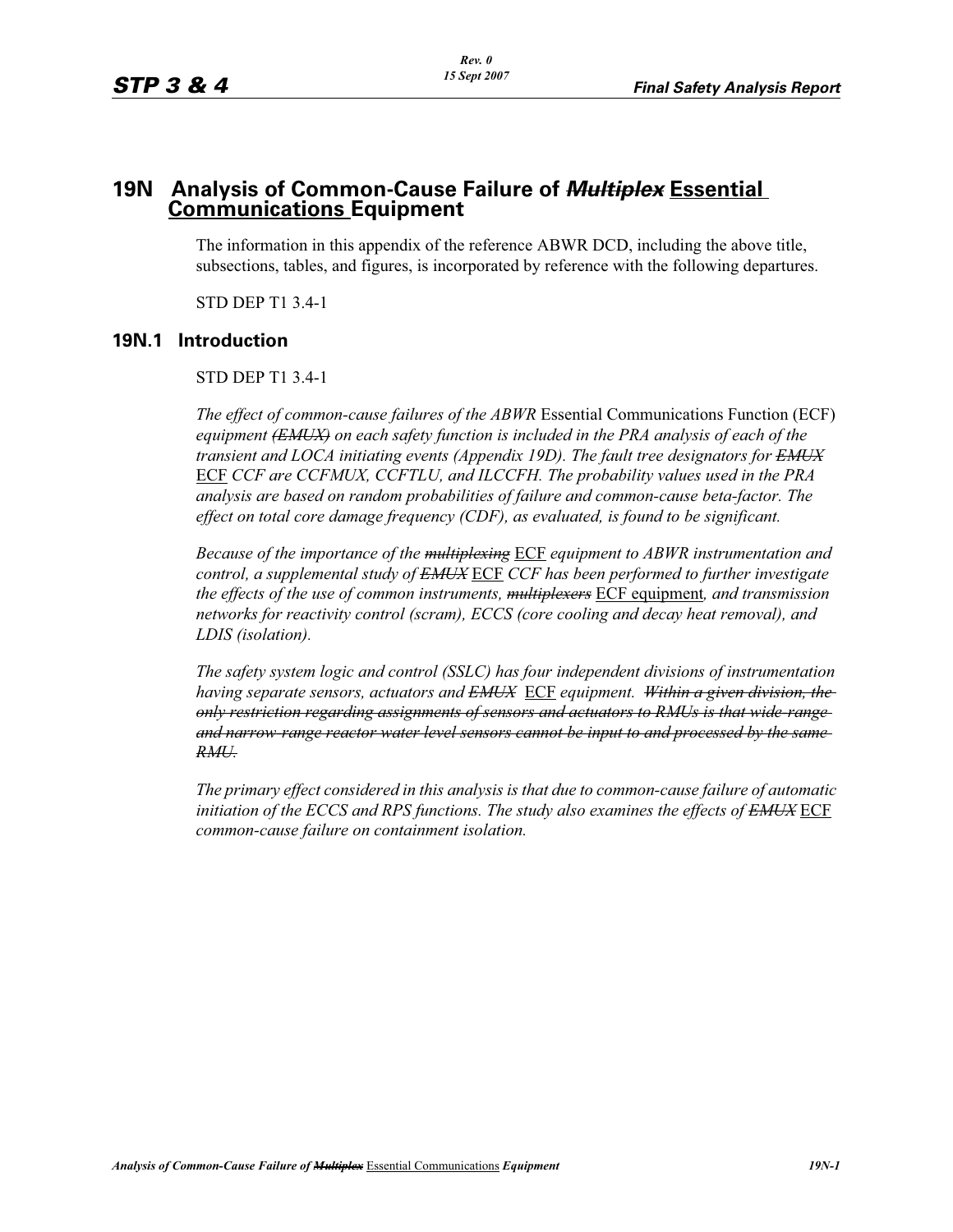# **19N Analysis of Common-Cause Failure of** *Multiplex* **Essential Communications Equipment**

The information in this appendix of the reference ABWR DCD, including the above title, subsections, tables, and figures, is incorporated by reference with the following departures.

STD DEP T1 3.4-1

# **19N.1 Introduction**

# STD DEP T1 3.4-1

*The effect of common-cause failures of the ABWR* Essential Communications Function (ECF) *equipment (EMUX) on each safety function is included in the PRA analysis of each of the transient and LOCA initiating events (Appendix 19D). The fault tree designators for EMUX* ECF *CCF are CCFMUX, CCFTLU, and ILCCFH. The probability values used in the PRA analysis are based on random probabilities of failure and common-cause beta-factor. The effect on total core damage frequency (CDF), as evaluated, is found to be significant.* 

*Because of the importance of the multiplexing* ECF *equipment to ABWR instrumentation and control, a supplemental study of EMUX* ECF *CCF has been performed to further investigate the effects of the use of common instruments, multiplexers* ECF equipment*, and transmission networks for reactivity control (scram), ECCS (core cooling and decay heat removal), and LDIS (isolation).* 

*The safety system logic and control (SSLC) has four independent divisions of instrumentation having separate sensors, actuators and EMUX* ECF *equipment. Within a given division, the only restriction regarding assignments of sensors and actuators to RMUs is that wide-range and narrow-range reactor water level sensors cannot be input to and processed by the same RMU.*

*The primary effect considered in this analysis is that due to common-cause failure of automatic initiation of the ECCS and RPS functions. The study also examines the effects of EMUX* ECF *common-cause failure on containment isolation.*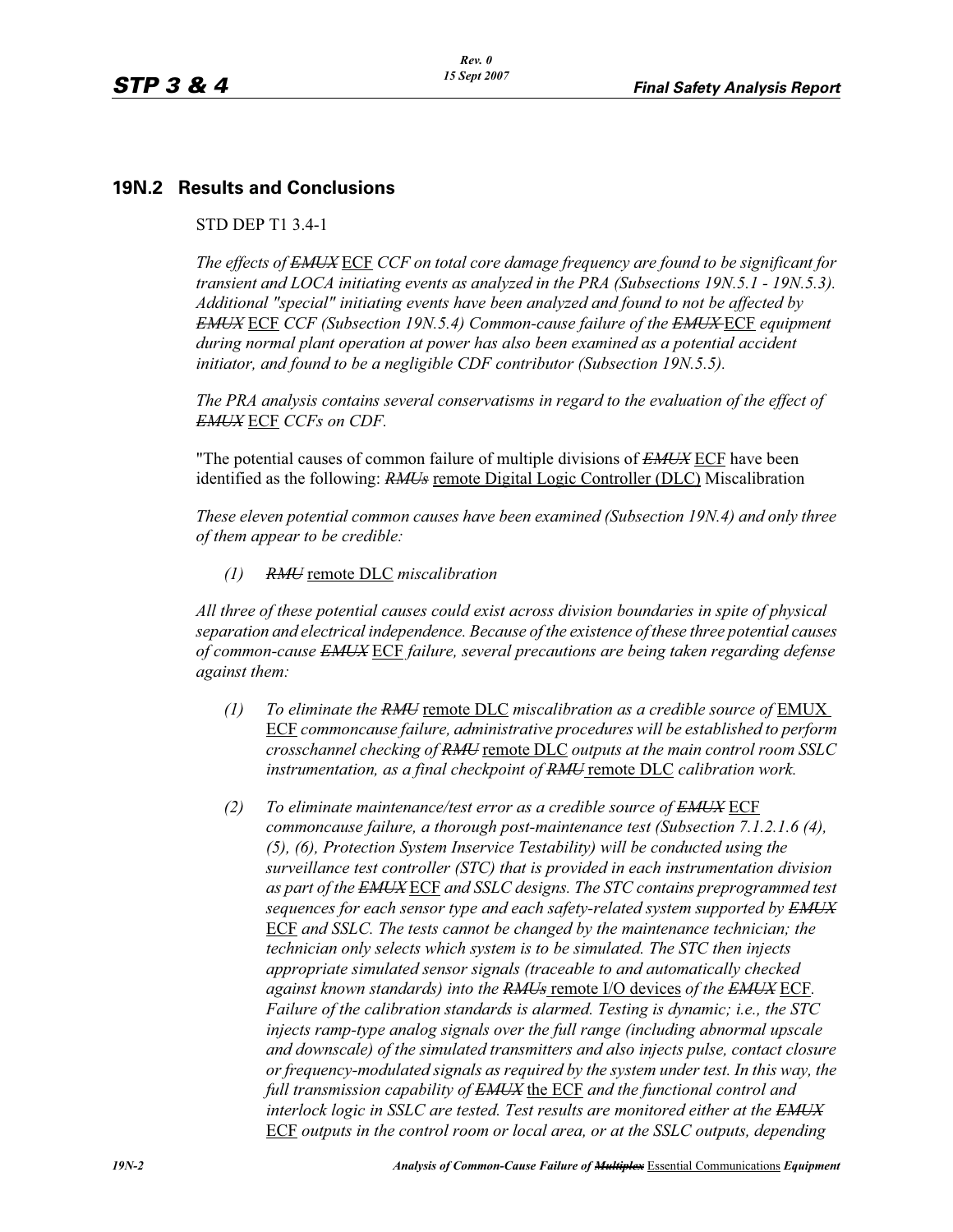# **19N.2 Results and Conclusions**

### STD DEP T1 3.4-1

*The effects of EMUX* ECF *CCF on total core damage frequency are found to be significant for transient and LOCA initiating events as analyzed in the PRA (Subsections 19N.5.1 - 19N.5.3). Additional "special" initiating events have been analyzed and found to not be affected by EMUX* ECF *CCF (Subsection 19N.5.4) Common-cause failure of the EMUX* ECF *equipment during normal plant operation at power has also been examined as a potential accident initiator, and found to be a negligible CDF contributor (Subsection 19N.5.5).* 

*The PRA analysis contains several conservatisms in regard to the evaluation of the effect of EMUX* ECF *CCFs on CDF.* 

"The potential causes of common failure of multiple divisions of *EMUX* ECF have been identified as the following: *RMUs* remote Digital Logic Controller (DLC) Miscalibration

*These eleven potential common causes have been examined (Subsection 19N.4) and only three of them appear to be credible:*

*(1) RMU* remote DLC *miscalibration*

*All three of these potential causes could exist across division boundaries in spite of physical separation and electrical independence. Because of the existence of these three potential causes of common-cause EMUX* ECF *failure, several precautions are being taken regarding defense against them:*

- *(1) To eliminate the RMU* remote DLC *miscalibration as a credible source of* EMUX ECF *commoncause failure, administrative procedures will be established to perform crosschannel checking of RMU* remote DLC *outputs at the main control room SSLC instrumentation, as a final checkpoint of RMU* remote DLC *calibration work.*
- *(2) To eliminate maintenance/test error as a credible source of EMUX* ECF *commoncause failure, a thorough post-maintenance test (Subsection 7.1.2.1.6 (4), (5), (6), Protection System Inservice Testability) will be conducted using the surveillance test controller (STC) that is provided in each instrumentation division as part of the EMUX* ECF *and SSLC designs. The STC contains preprogrammed test sequences for each sensor type and each safety-related system supported by EMUX* ECF *and SSLC. The tests cannot be changed by the maintenance technician; the technician only selects which system is to be simulated. The STC then injects appropriate simulated sensor signals (traceable to and automatically checked against known standards) into the RMUs* remote I/O devices *of the EMUX* ECF*. Failure of the calibration standards is alarmed. Testing is dynamic; i.e., the STC injects ramp-type analog signals over the full range (including abnormal upscale and downscale) of the simulated transmitters and also injects pulse, contact closure or frequency-modulated signals as required by the system under test. In this way, the full transmission capability of EMUX* the ECF *and the functional control and interlock logic in SSLC are tested. Test results are monitored either at the EMUX* ECF *outputs in the control room or local area, or at the SSLC outputs, depending*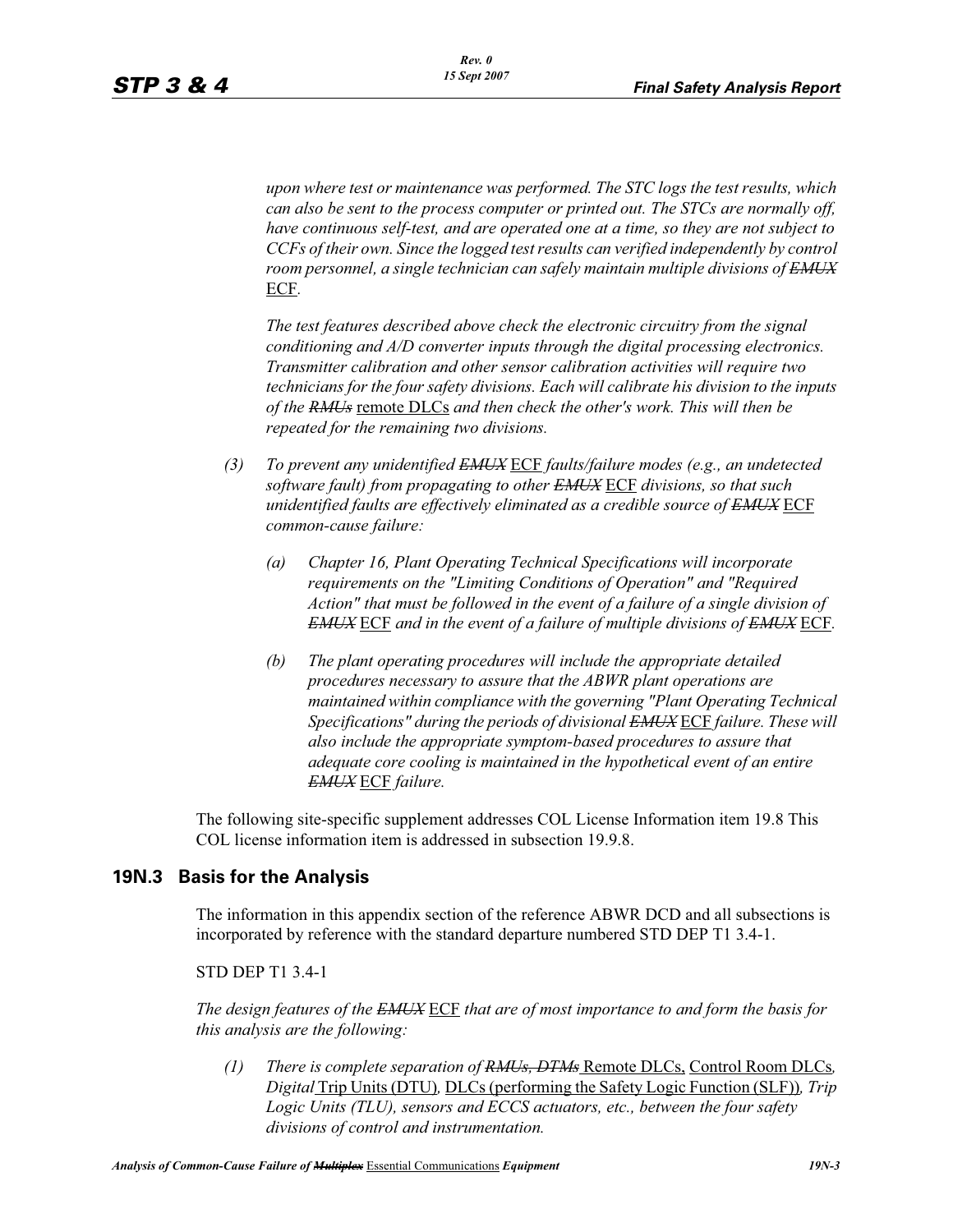*upon where test or maintenance was performed. The STC logs the test results, which can also be sent to the process computer or printed out. The STCs are normally off, have continuous self-test, and are operated one at a time, so they are not subject to CCFs of their own. Since the logged test results can verified independently by control room personnel, a single technician can safely maintain multiple divisions of EMUX* ECF*.* 

*The test features described above check the electronic circuitry from the signal conditioning and A/D converter inputs through the digital processing electronics. Transmitter calibration and other sensor calibration activities will require two technicians for the four safety divisions. Each will calibrate his division to the inputs of the RMUs* remote DLCs *and then check the other's work. This will then be repeated for the remaining two divisions.*

- *(3) To prevent any unidentified EMUX* ECF *faults/failure modes (e.g., an undetected software fault) from propagating to other EMUX* ECF *divisions, so that such unidentified faults are effectively eliminated as a credible source of EMUX* ECF *common-cause failure:* 
	- *(a) Chapter 16, Plant Operating Technical Specifications will incorporate requirements on the "Limiting Conditions of Operation" and "Required Action" that must be followed in the event of a failure of a single division of EMUX* ECF *and in the event of a failure of multiple divisions of EMUX* ECF*.*
	- *(b) The plant operating procedures will include the appropriate detailed procedures necessary to assure that the ABWR plant operations are maintained within compliance with the governing "Plant Operating Technical Specifications" during the periods of divisional EMUX* ECF *failure. These will also include the appropriate symptom-based procedures to assure that adequate core cooling is maintained in the hypothetical event of an entire EMUX* ECF *failure.*

The following site-specific supplement addresses COL License Information item 19.8 This COL license information item is addressed in subsection 19.9.8.

# **19N.3 Basis for the Analysis**

The information in this appendix section of the reference ABWR DCD and all subsections is incorporated by reference with the standard departure numbered STD DEP T1 3.4-1.

STD DEP T1 3.4-1

*The design features of the EMUX* ECF *that are of most importance to and form the basis for this analysis are the following:*

*(1) There is complete separation of RMUs, DTMs* Remote DLCs, Control Room DLCs*, Digital* Trip Units (DTU)*,* DLCs (performing the Safety Logic Function (SLF))*, Trip Logic Units (TLU), sensors and ECCS actuators, etc., between the four safety divisions of control and instrumentation.*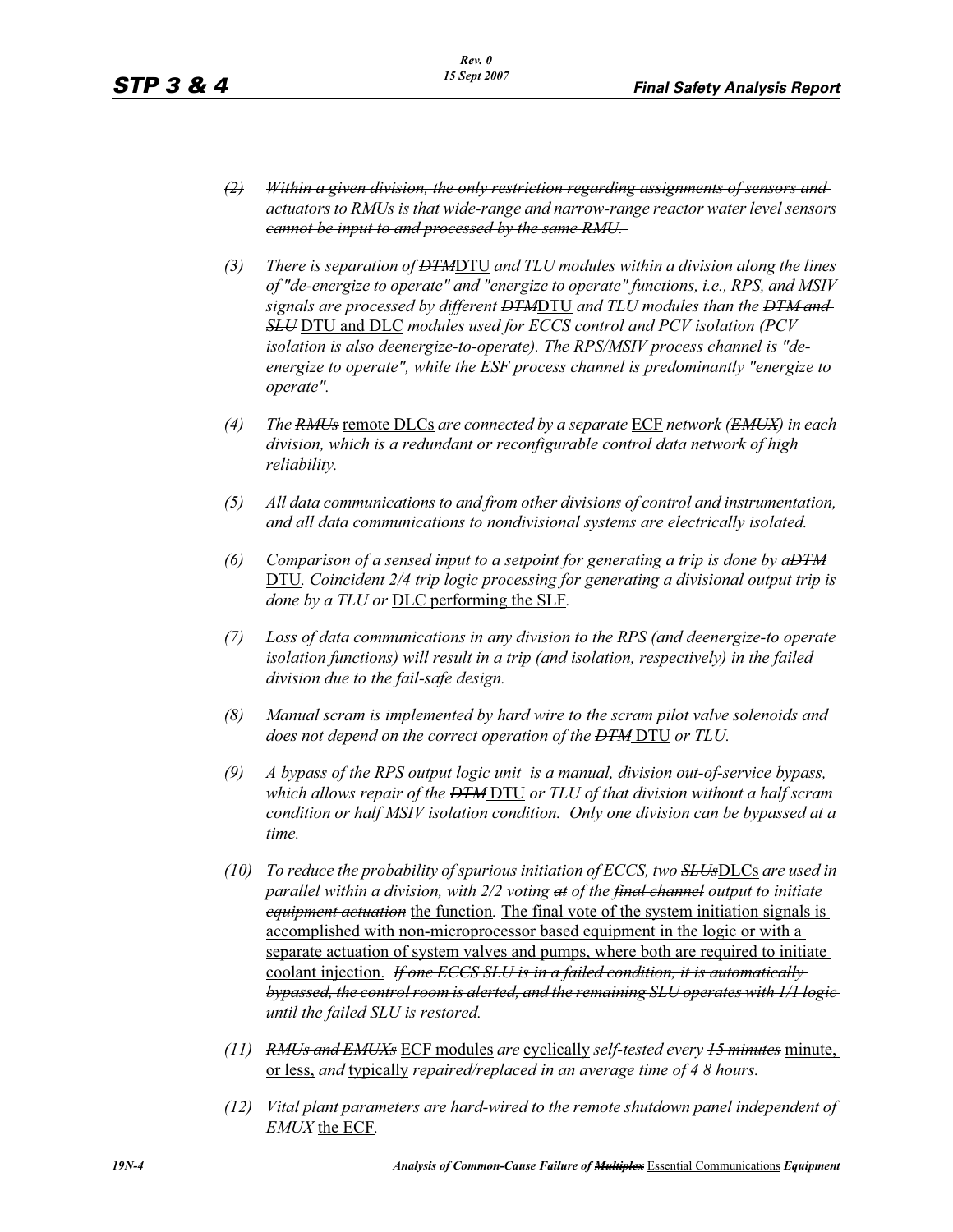- *(2) Within a given division, the only restriction regarding assignments of sensors and actuators to RMUs is that wide-range and narrow-range reactor water level sensors cannot be input to and processed by the same RMU.*
- *(3) There is separation of DTM*DTU *and TLU modules within a division along the lines of "de-energize to operate" and "energize to operate" functions, i.e., RPS, and MSIV signals are processed by different DTM*DTU *and TLU modules than the DTM and SLU* DTU and DLC *modules used for ECCS control and PCV isolation (PCV isolation is also deenergize-to-operate). The RPS/MSIV process channel is "deenergize to operate", while the ESF process channel is predominantly "energize to operate".*
- *(4) The RMUs* remote DLCs *are connected by a separate* ECF *network (EMUX) in each division, which is a redundant or reconfigurable control data network of high reliability.*
- *(5) All data communications to and from other divisions of control and instrumentation, and all data communications to nondivisional systems are electrically isolated.*
- *(6) Comparison of a sensed input to a setpoint for generating a trip is done by aDTM* DTU*. Coincident 2/4 trip logic processing for generating a divisional output trip is done by a TLU or* DLC performing the SLF*.*
- *(7) Loss of data communications in any division to the RPS (and deenergize-to operate isolation functions) will result in a trip (and isolation, respectively) in the failed division due to the fail-safe design.*
- *(8) Manual scram is implemented by hard wire to the scram pilot valve solenoids and does not depend on the correct operation of the DTM* DTU *or TLU.*
- *(9) A bypass of the RPS output logic unit is a manual, division out-of-service bypass, which allows repair of the DTM* DTU *or TLU of that division without a half scram condition or half MSIV isolation condition. Only one division can be bypassed at a time.*
- *(10) To reduce the probability of spurious initiation of ECCS, two SLUs*DLCs *are used in parallel within a division, with 2/2 voting at of the final channel output to initiate equipment actuation* the function*.* The final vote of the system initiation signals is accomplished with non-microprocessor based equipment in the logic or with a separate actuation of system valves and pumps, where both are required to initiate coolant injection. *If one ECCS SLU is in a failed condition, it is automatically bypassed, the control room is alerted, and the remaining SLU operates with 1/1 logic until the failed SLU is restored.*
- *(11) RMUs and EMUXs* ECF modules *are* cyclically *self-tested every 15 minutes* minute, or less, *and* typically *repaired/replaced in an average time of 4 8 hours.*
- *(12) Vital plant parameters are hard-wired to the remote shutdown panel independent of EMUX* the ECF*.*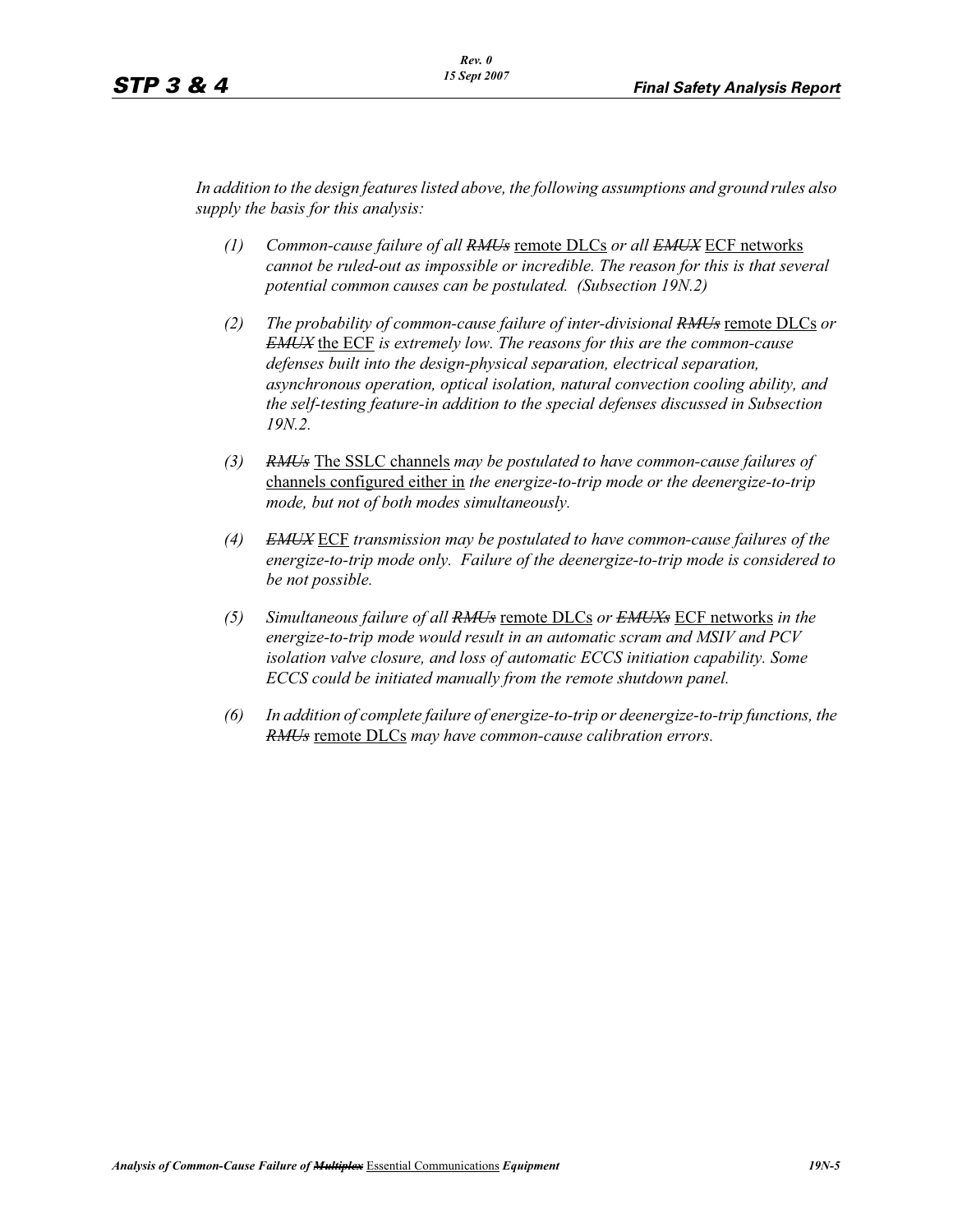*In addition to the design features listed above, the following assumptions and ground rules also supply the basis for this analysis:*

- *(1) Common-cause failure of all RMUs* remote DLCs *or all EMUX* ECF networks *cannot be ruled-out as impossible or incredible. The reason for this is that several potential common causes can be postulated. (Subsection 19N.2)*
- *(2) The probability of common-cause failure of inter-divisional RMUs* remote DLCs *or EMUX* the ECF *is extremely low. The reasons for this are the common-cause defenses built into the design-physical separation, electrical separation, asynchronous operation, optical isolation, natural convection cooling ability, and the self-testing feature-in addition to the special defenses discussed in Subsection 19N.2.*
- *(3) RMUs* The SSLC channels *may be postulated to have common-cause failures of*  channels configured either in *the energize-to-trip mode or the deenergize-to-trip mode, but not of both modes simultaneously.*
- *(4) EMUX* ECF *transmission may be postulated to have common-cause failures of the energize-to-trip mode only. Failure of the deenergize-to-trip mode is considered to be not possible.*
- *(5) Simultaneous failure of all RMUs* remote DLCs *or EMUXs* ECF networks *in the energize-to-trip mode would result in an automatic scram and MSIV and PCV isolation valve closure, and loss of automatic ECCS initiation capability. Some ECCS could be initiated manually from the remote shutdown panel.*
- *(6) In addition of complete failure of energize-to-trip or deenergize-to-trip functions, the RMUs* remote DLCs *may have common-cause calibration errors.*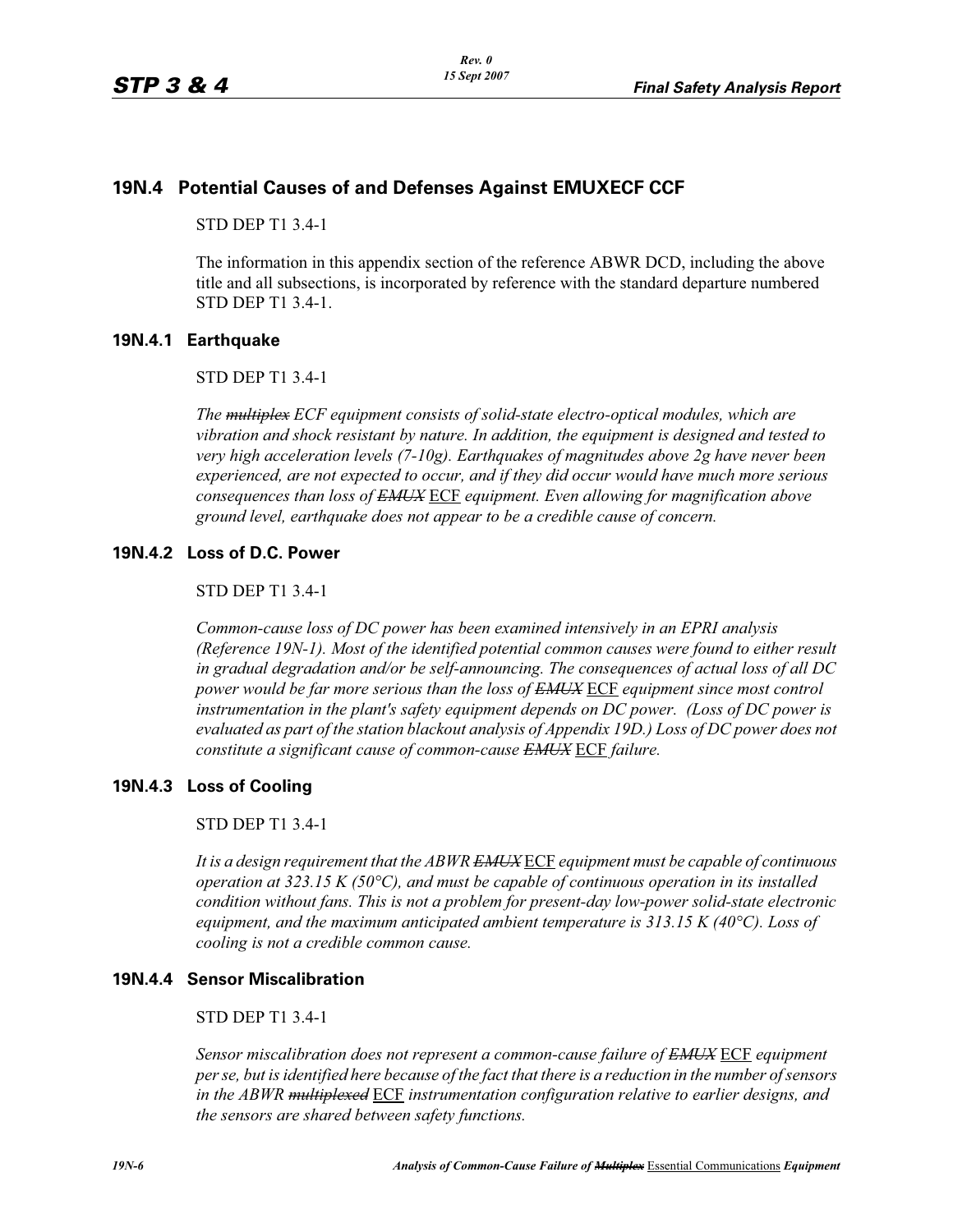# **19N.4 Potential Causes of and Defenses Against EMUXECF CCF**

STD DEP T1 3.4-1

The information in this appendix section of the reference ABWR DCD, including the above title and all subsections, is incorporated by reference with the standard departure numbered STD DEP T1 3.4-1.

# **19N.4.1 Earthquake**

# STD DEP T1 3.4-1

*The multiplex ECF equipment consists of solid-state electro-optical modules, which are vibration and shock resistant by nature. In addition, the equipment is designed and tested to very high acceleration levels (7-10g). Earthquakes of magnitudes above 2g have never been experienced, are not expected to occur, and if they did occur would have much more serious consequences than loss of EMUX* ECF *equipment. Even allowing for magnification above ground level, earthquake does not appear to be a credible cause of concern.* 

# **19N.4.2 Loss of D.C. Power**

# STD DEP T1 3.4-1

*Common-cause loss of DC power has been examined intensively in an EPRI analysis (Reference 19N-1). Most of the identified potential common causes were found to either result in gradual degradation and/or be self-announcing. The consequences of actual loss of all DC power would be far more serious than the loss of EMUX* ECF *equipment since most control instrumentation in the plant's safety equipment depends on DC power. (Loss of DC power is evaluated as part of the station blackout analysis of Appendix 19D.) Loss of DC power does not constitute a significant cause of common-cause EMUX* ECF *failure.* 

# **19N.4.3 Loss of Cooling**

#### STD DEP T1 3.4-1

*It is a design requirement that the ABWR EMUX* ECF *equipment must be capable of continuous operation at 323.15 K (50°C), and must be capable of continuous operation in its installed condition without fans. This is not a problem for present-day low-power solid-state electronic equipment, and the maximum anticipated ambient temperature is 313.15 K (40°C). Loss of cooling is not a credible common cause.* 

# **19N.4.4 Sensor Miscalibration**

#### STD DEP T1 3.4-1

*Sensor miscalibration does not represent a common-cause failure of EMUX* ECF *equipment per se, but is identified here because of the fact that there is a reduction in the number of sensors in the ABWR multiplexed* ECF *instrumentation configuration relative to earlier designs, and the sensors are shared between safety functions.*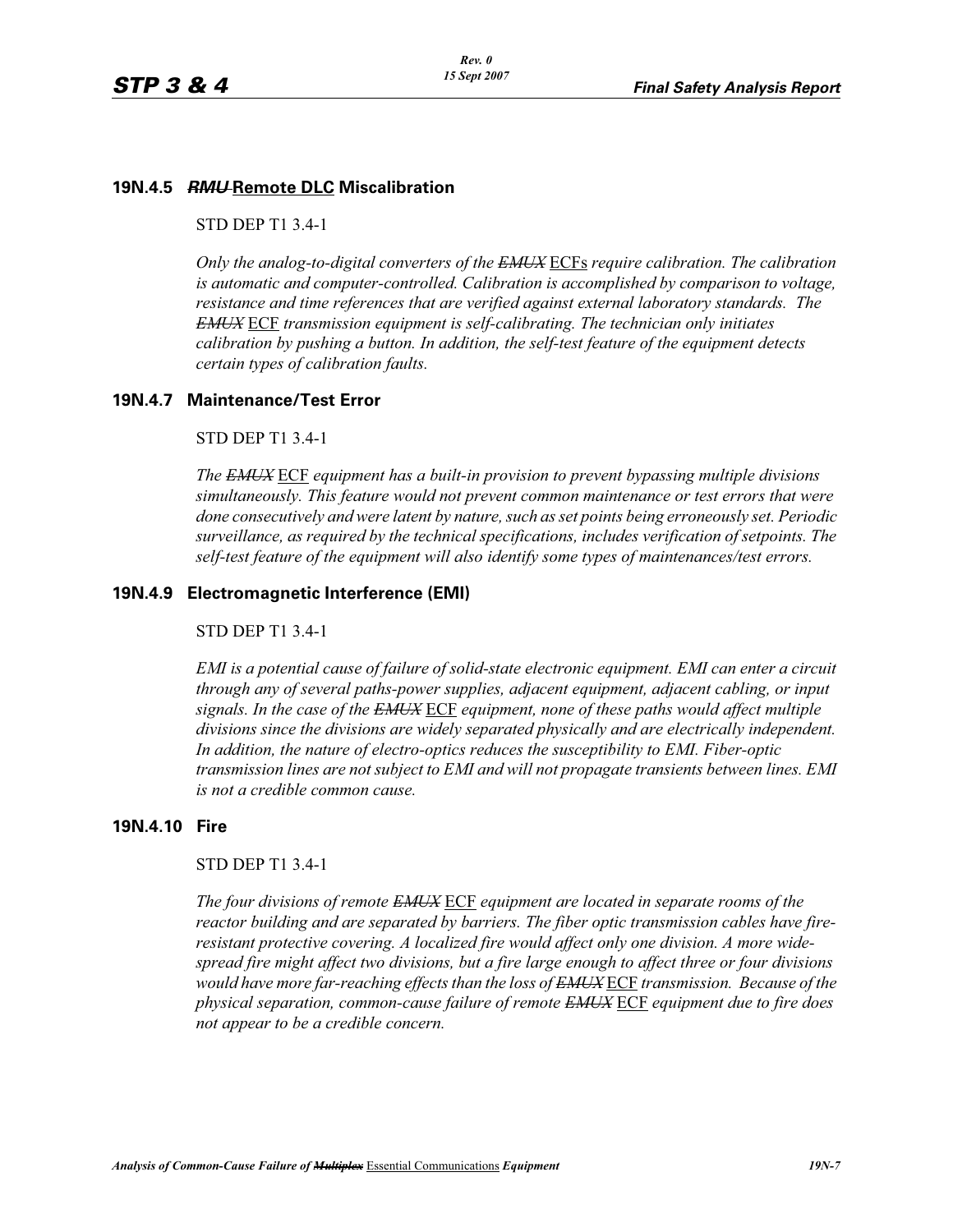# **19N.4.5** *RMU* **Remote DLC Miscalibration**

STD DEP T1 3.4-1

*Only the analog-to-digital converters of the EMUX* ECFs *require calibration. The calibration is automatic and computer-controlled. Calibration is accomplished by comparison to voltage, resistance and time references that are verified against external laboratory standards. The EMUX* ECF *transmission equipment is self-calibrating. The technician only initiates calibration by pushing a button. In addition, the self-test feature of the equipment detects certain types of calibration faults.* 

# **19N.4.7 Maintenance/Test Error**

### STD DEP T1 3.4-1

*The EMUX* ECF *equipment has a built-in provision to prevent bypassing multiple divisions simultaneously. This feature would not prevent common maintenance or test errors that were done consecutively and were latent by nature, such as set points being erroneously set. Periodic surveillance, as required by the technical specifications, includes verification of setpoints. The self-test feature of the equipment will also identify some types of maintenances/test errors.* 

# **19N.4.9 Electromagnetic Interference (EMI)**

#### STD DEP T1 3.4-1

*EMI is a potential cause of failure of solid-state electronic equipment. EMI can enter a circuit through any of several paths-power supplies, adjacent equipment, adjacent cabling, or input signals. In the case of the EMUX* ECF *equipment, none of these paths would affect multiple divisions since the divisions are widely separated physically and are electrically independent. In addition, the nature of electro-optics reduces the susceptibility to EMI. Fiber-optic transmission lines are not subject to EMI and will not propagate transients between lines. EMI is not a credible common cause.* 

# **19N.4.10 Fire**

# STD DEP T1 3.4-1

*The four divisions of remote EMUX* ECF *equipment are located in separate rooms of the reactor building and are separated by barriers. The fiber optic transmission cables have fireresistant protective covering. A localized fire would affect only one division. A more widespread fire might affect two divisions, but a fire large enough to affect three or four divisions would have more far-reaching effects than the loss of EMUX* ECF *transmission. Because of the physical separation, common-cause failure of remote EMUX* ECF *equipment due to fire does not appear to be a credible concern.*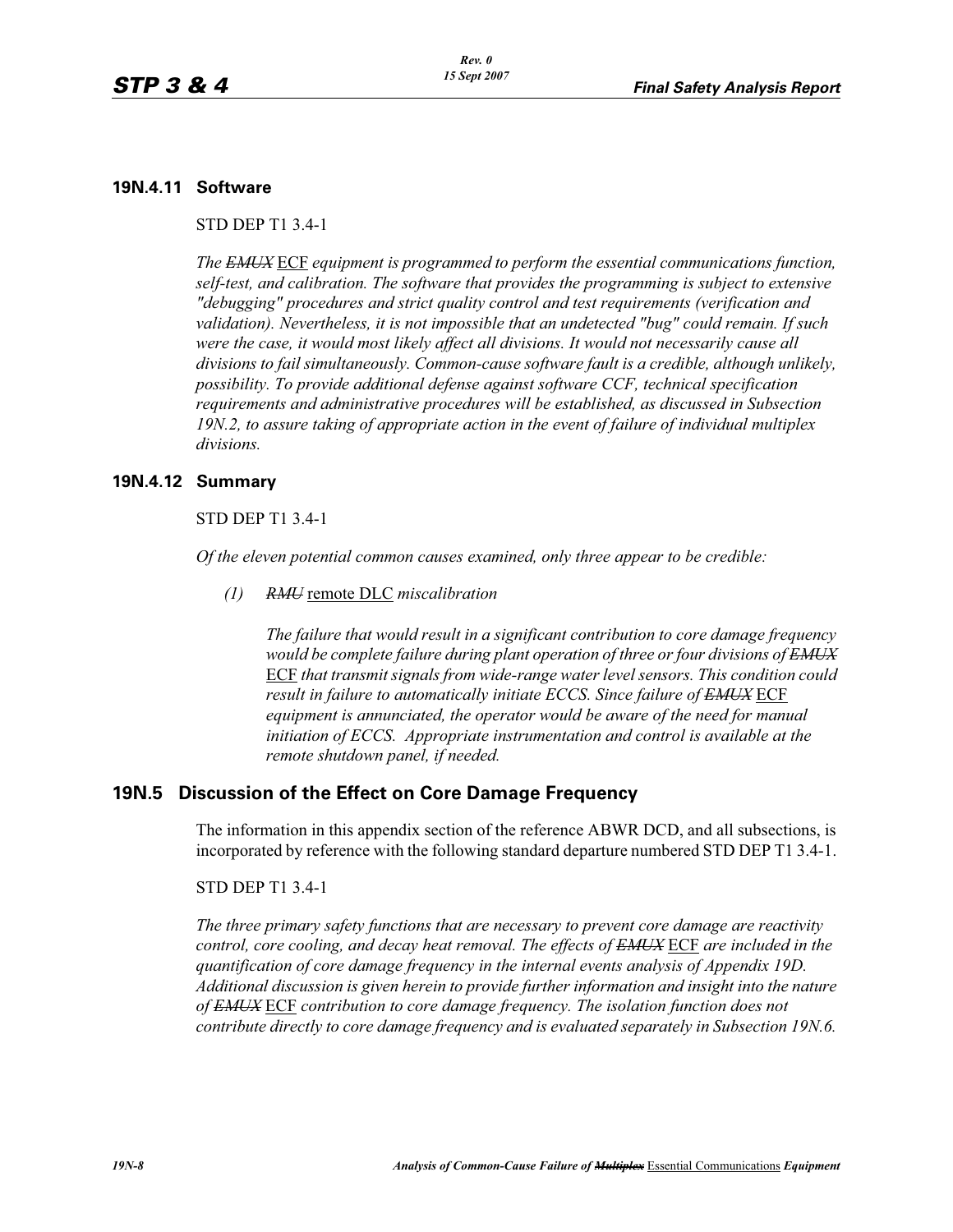# **19N.4.11 Software**

STD DEP T1 3.4-1

*The EMUX* ECF *equipment is programmed to perform the essential communications function, self-test, and calibration. The software that provides the programming is subject to extensive "debugging" procedures and strict quality control and test requirements (verification and validation). Nevertheless, it is not impossible that an undetected "bug" could remain. If such were the case, it would most likely affect all divisions. It would not necessarily cause all divisions to fail simultaneously. Common-cause software fault is a credible, although unlikely, possibility. To provide additional defense against software CCF, technical specification requirements and administrative procedures will be established, as discussed in Subsection 19N.2, to assure taking of appropriate action in the event of failure of individual multiplex divisions.* 

# **19N.4.12 Summary**

STD DEP T1 3.4-1

*Of the eleven potential common causes examined, only three appear to be credible:* 

*(1) RMU* remote DLC *miscalibration*

*The failure that would result in a significant contribution to core damage frequency would be complete failure during plant operation of three or four divisions of EMUX* ECF *that transmit signals from wide-range water level sensors. This condition could result in failure to automatically initiate ECCS. Since failure of EMUX* ECF *equipment is annunciated, the operator would be aware of the need for manual initiation of ECCS. Appropriate instrumentation and control is available at the remote shutdown panel, if needed.* 

# **19N.5 Discussion of the Effect on Core Damage Frequency**

The information in this appendix section of the reference ABWR DCD, and all subsections, is incorporated by reference with the following standard departure numbered STD DEP T1 3.4-1.

#### STD DEP T1 3.4-1

*The three primary safety functions that are necessary to prevent core damage are reactivity control, core cooling, and decay heat removal. The effects of EMUX* ECF *are included in the quantification of core damage frequency in the internal events analysis of Appendix 19D. Additional discussion is given herein to provide further information and insight into the nature of EMUX* ECF *contribution to core damage frequency. The isolation function does not contribute directly to core damage frequency and is evaluated separately in Subsection 19N.6.*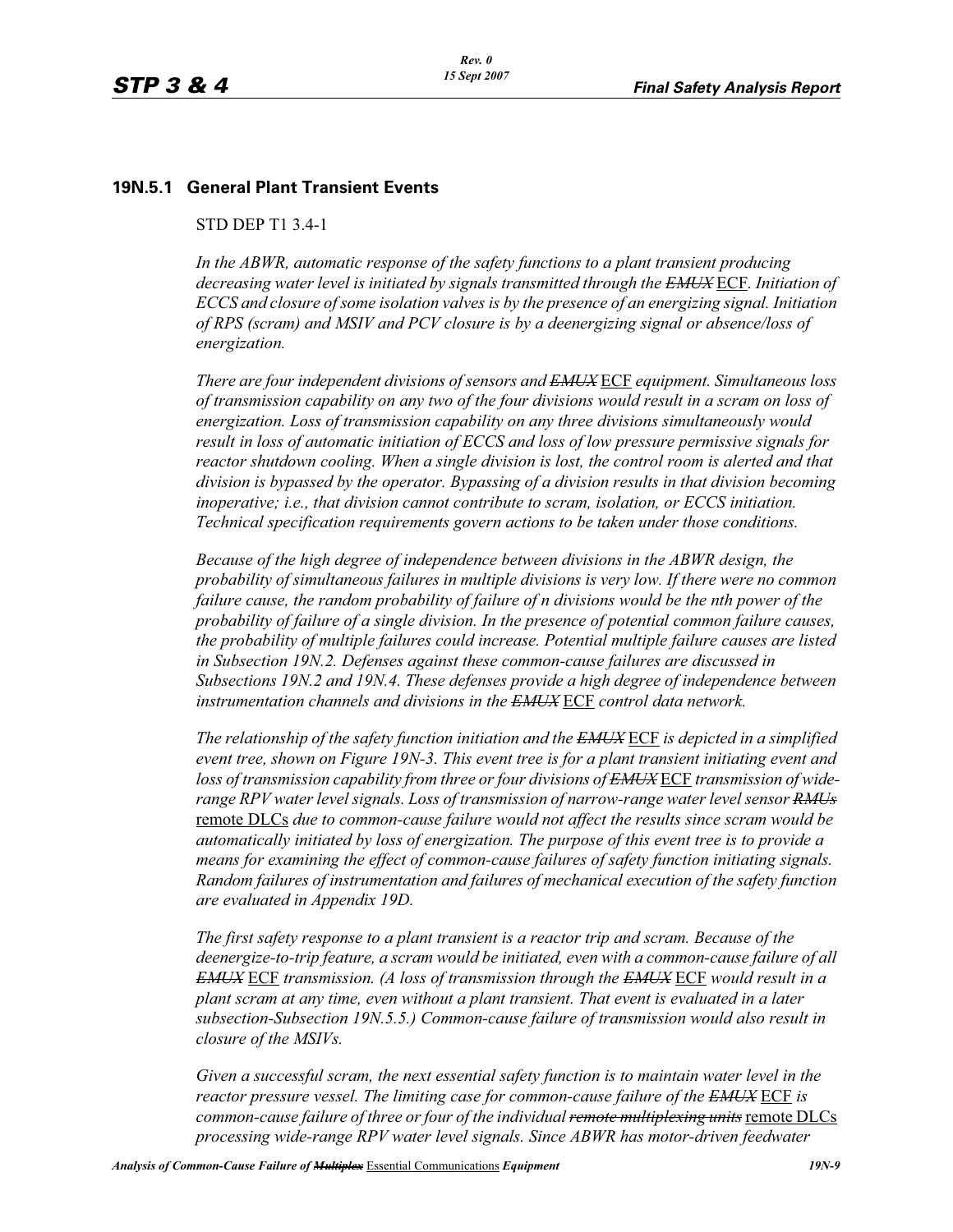# **19N.5.1 General Plant Transient Events**

# STD DEP T1 3.4-1

*In the ABWR, automatic response of the safety functions to a plant transient producing decreasing water level is initiated by signals transmitted through the EMUX* ECF*. Initiation of ECCS and closure of some isolation valves is by the presence of an energizing signal. Initiation of RPS (scram) and MSIV and PCV closure is by a deenergizing signal or absence/loss of energization.* 

*There are four independent divisions of sensors and EMUX* ECF *equipment. Simultaneous loss of transmission capability on any two of the four divisions would result in a scram on loss of energization. Loss of transmission capability on any three divisions simultaneously would result in loss of automatic initiation of ECCS and loss of low pressure permissive signals for reactor shutdown cooling. When a single division is lost, the control room is alerted and that division is bypassed by the operator. Bypassing of a division results in that division becoming inoperative; i.e., that division cannot contribute to scram, isolation, or ECCS initiation. Technical specification requirements govern actions to be taken under those conditions.* 

*Because of the high degree of independence between divisions in the ABWR design, the probability of simultaneous failures in multiple divisions is very low. If there were no common failure cause, the random probability of failure of n divisions would be the nth power of the probability of failure of a single division. In the presence of potential common failure causes, the probability of multiple failures could increase. Potential multiple failure causes are listed in Subsection 19N.2. Defenses against these common-cause failures are discussed in Subsections 19N.2 and 19N.4. These defenses provide a high degree of independence between instrumentation channels and divisions in the EMUX* ECF *control data network.* 

*The relationship of the safety function initiation and the EMUX* ECF *is depicted in a simplified event tree, shown on Figure 19N-3. This event tree is for a plant transient initiating event and loss of transmission capability from three or four divisions of EMUX* ECF *transmission of widerange RPV water level signals. Loss of transmission of narrow-range water level sensor RMUs* remote DLCs *due to common-cause failure would not affect the results since scram would be automatically initiated by loss of energization. The purpose of this event tree is to provide a means for examining the effect of common-cause failures of safety function initiating signals. Random failures of instrumentation and failures of mechanical execution of the safety function are evaluated in Appendix 19D.*

*The first safety response to a plant transient is a reactor trip and scram. Because of the deenergize-to-trip feature, a scram would be initiated, even with a common-cause failure of all EMUX* ECF *transmission. (A loss of transmission through the EMUX* ECF *would result in a plant scram at any time, even without a plant transient. That event is evaluated in a later subsection-Subsection 19N.5.5.) Common-cause failure of transmission would also result in closure of the MSIVs.* 

*Given a successful scram, the next essential safety function is to maintain water level in the reactor pressure vessel. The limiting case for common-cause failure of the EMUX* ECF *is common-cause failure of three or four of the individual remote multiplexing units*remote DLCs *processing wide-range RPV water level signals. Since ABWR has motor-driven feedwater*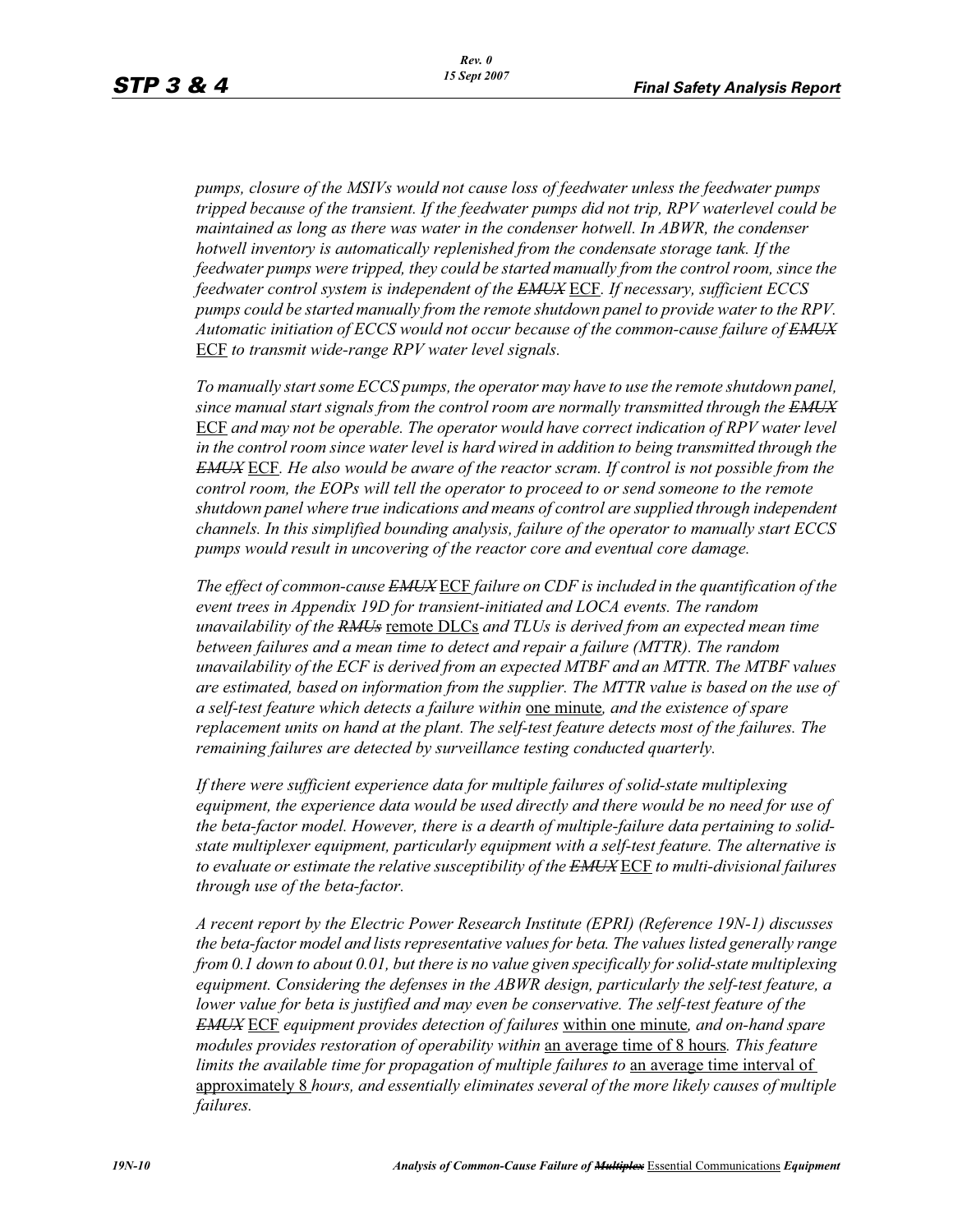*pumps, closure of the MSIVs would not cause loss of feedwater unless the feedwater pumps tripped because of the transient. If the feedwater pumps did not trip, RPV waterlevel could be maintained as long as there was water in the condenser hotwell. In ABWR, the condenser hotwell inventory is automatically replenished from the condensate storage tank. If the feedwater pumps were tripped, they could be started manually from the control room, since the feedwater control system is independent of the EMUX* ECF*. If necessary, sufficient ECCS pumps could be started manually from the remote shutdown panel to provide water to the RPV. Automatic initiation of ECCS would not occur because of the common-cause failure of EMUX* ECF *to transmit wide-range RPV water level signals.* 

*To manually start some ECCS pumps, the operator may have to use the remote shutdown panel, since manual start signals from the control room are normally transmitted through the EMUX* ECF *and may not be operable. The operator would have correct indication of RPV water level in the control room since water level is hard wired in addition to being transmitted through the EMUX* ECF*. He also would be aware of the reactor scram. If control is not possible from the control room, the EOPs will tell the operator to proceed to or send someone to the remote shutdown panel where true indications and means of control are supplied through independent channels. In this simplified bounding analysis, failure of the operator to manually start ECCS pumps would result in uncovering of the reactor core and eventual core damage.*

*The effect of common-cause EMUX* ECF *failure on CDF is included in the quantification of the event trees in Appendix 19D for transient-initiated and LOCA events. The random unavailability of the RMUs* remote DLCs *and TLUs is derived from an expected mean time*  between failures and a mean time to detect and repair a failure (MTTR). The random *unavailability of the ECF is derived from an expected MTBF and an MTTR. The MTBF values are estimated, based on information from the supplier. The MTTR value is based on the use of a self-test feature which detects a failure within* one minute*, and the existence of spare replacement units on hand at the plant. The self-test feature detects most of the failures. The remaining failures are detected by surveillance testing conducted quarterly.* 

*If there were sufficient experience data for multiple failures of solid-state multiplexing*  equipment, the experience data would be used directly and there would be no need for use of *the beta-factor model. However, there is a dearth of multiple-failure data pertaining to solidstate multiplexer equipment, particularly equipment with a self-test feature. The alternative is to evaluate or estimate the relative susceptibility of the EMUX* ECF *to multi-divisional failures through use of the beta-factor.* 

*A recent report by the Electric Power Research Institute (EPRI) (Reference 19N-1) discusses the beta-factor model and lists representative values for beta. The values listed generally range from 0.1 down to about 0.01, but there is no value given specifically for solid-state multiplexing equipment. Considering the defenses in the ABWR design, particularly the self-test feature, a lower value for beta is justified and may even be conservative. The self-test feature of the EMUX* ECF *equipment provides detection of failures* within one minute*, and on-hand spare modules provides restoration of operability within* an average time of 8 hours*. This feature limits the available time for propagation of multiple failures to an average time interval of* approximately 8 *hours, and essentially eliminates several of the more likely causes of multiple failures.*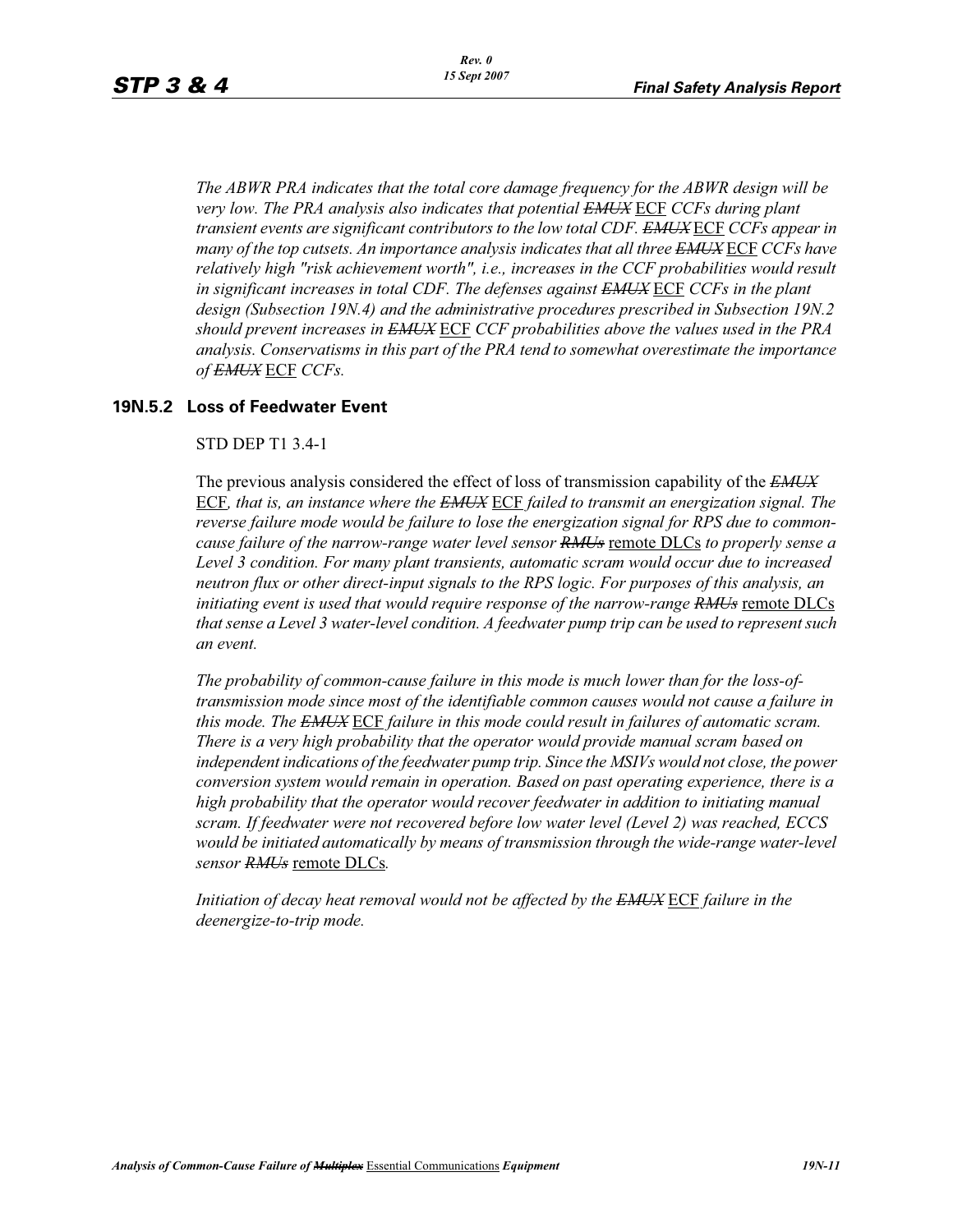*The ABWR PRA indicates that the total core damage frequency for the ABWR design will be very low. The PRA analysis also indicates that potential EMUX* ECF *CCFs during plant transient events are significant contributors to the low total CDF. EMUX* ECF *CCFs appear in many of the top cutsets. An importance analysis indicates that all three EMUX* ECF *CCFs have relatively high "risk achievement worth", i.e., increases in the CCF probabilities would result in significant increases in total CDF. The defenses against EMUX* ECF *CCFs in the plant design (Subsection 19N.4) and the administrative procedures prescribed in Subsection 19N.2 should prevent increases in EMUX* ECF *CCF probabilities above the values used in the PRA analysis. Conservatisms in this part of the PRA tend to somewhat overestimate the importance of EMUX* ECF *CCFs.* 

# **19N.5.2 Loss of Feedwater Event**

### STD DEP T1 3.4-1

The previous analysis considered the effect of loss of transmission capability of the *EMUX* ECF*, that is, an instance where the EMUX* ECF *failed to transmit an energization signal. The reverse failure mode would be failure to lose the energization signal for RPS due to commoncause failure of the narrow-range water level sensor RMUs* remote DLCs *to properly sense a Level 3 condition. For many plant transients, automatic scram would occur due to increased neutron flux or other direct-input signals to the RPS logic. For purposes of this analysis, an initiating event is used that would require response of the narrow-range RMUs* remote DLCs *that sense a Level 3 water-level condition. A feedwater pump trip can be used to represent such an event.*

*The probability of common-cause failure in this mode is much lower than for the loss-oftransmission mode since most of the identifiable common causes would not cause a failure in this mode. The EMUX* ECF *failure in this mode could result in failures of automatic scram. There is a very high probability that the operator would provide manual scram based on independent indications of the feedwater pump trip. Since the MSIVs would not close, the power conversion system would remain in operation. Based on past operating experience, there is a high probability that the operator would recover feedwater in addition to initiating manual scram. If feedwater were not recovered before low water level (Level 2) was reached, ECCS*  would be initiated automatically by means of transmission through the wide-range water-level *sensor RMUs* remote DLCs*.* 

*Initiation of decay heat removal would not be affected by the EMUX* ECF *failure in the deenergize-to-trip mode.*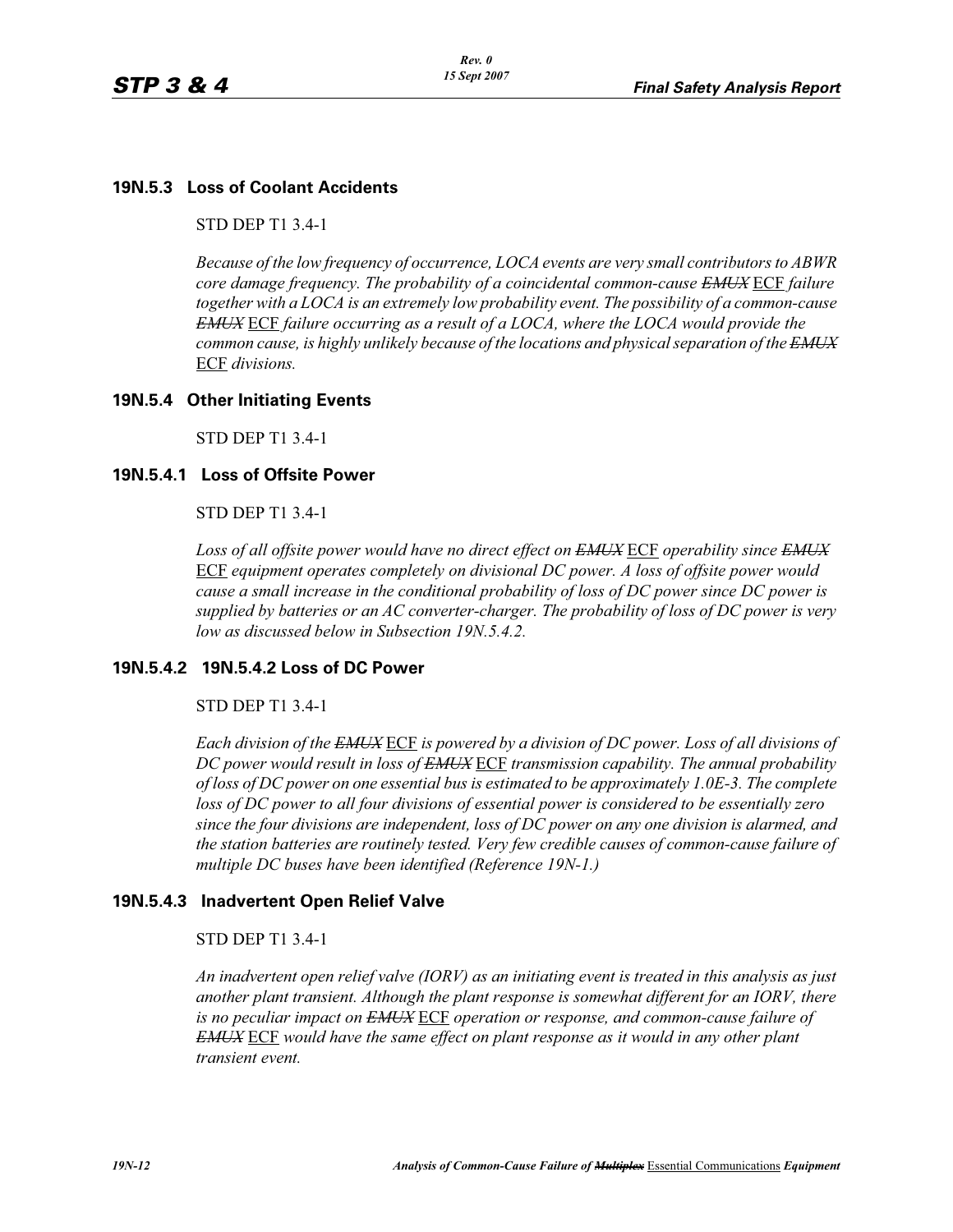# **19N.5.3 Loss of Coolant Accidents**

STD DEP T1 3.4-1

*Because of the low frequency of occurrence, LOCA events are very small contributors to ABWR core damage frequency. The probability of a coincidental common-cause EMUX* ECF *failure together with a LOCA is an extremely low probability event. The possibility of a common-cause EMUX* ECF *failure occurring as a result of a LOCA, where the LOCA would provide the common cause, is highly unlikely because of the locations and physical separation of the EMUX* ECF *divisions.* 

# **19N.5.4 Other Initiating Events**

STD DEP T1 3.4-1

# **19N.5.4.1 Loss of Offsite Power**

STD DEP T1 3.4-1

*Loss of all offsite power would have no direct effect on EMUX* ECF *operability since EMUX* ECF *equipment operates completely on divisional DC power. A loss of offsite power would cause a small increase in the conditional probability of loss of DC power since DC power is supplied by batteries or an AC converter-charger. The probability of loss of DC power is very low as discussed below in Subsection 19N.5.4.2.* 

# **19N.5.4.2 19N.5.4.2 Loss of DC Power**

#### STD DEP T1 3.4-1

*Each division of the EMUX* ECF *is powered by a division of DC power. Loss of all divisions of DC power would result in loss of EMUX* ECF *transmission capability. The annual probability of loss of DC power on one essential bus is estimated to be approximately 1.0E-3. The complete loss of DC power to all four divisions of essential power is considered to be essentially zero since the four divisions are independent, loss of DC power on any one division is alarmed, and the station batteries are routinely tested. Very few credible causes of common-cause failure of multiple DC buses have been identified (Reference 19N-1.)*

# **19N.5.4.3 Inadvertent Open Relief Valve**

#### STD DEP T1 3.4-1

*An inadvertent open relief valve (IORV) as an initiating event is treated in this analysis as just another plant transient. Although the plant response is somewhat different for an IORV, there is no peculiar impact on EMUX* ECF *operation or response, and common-cause failure of EMUX* ECF *would have the same effect on plant response as it would in any other plant transient event.*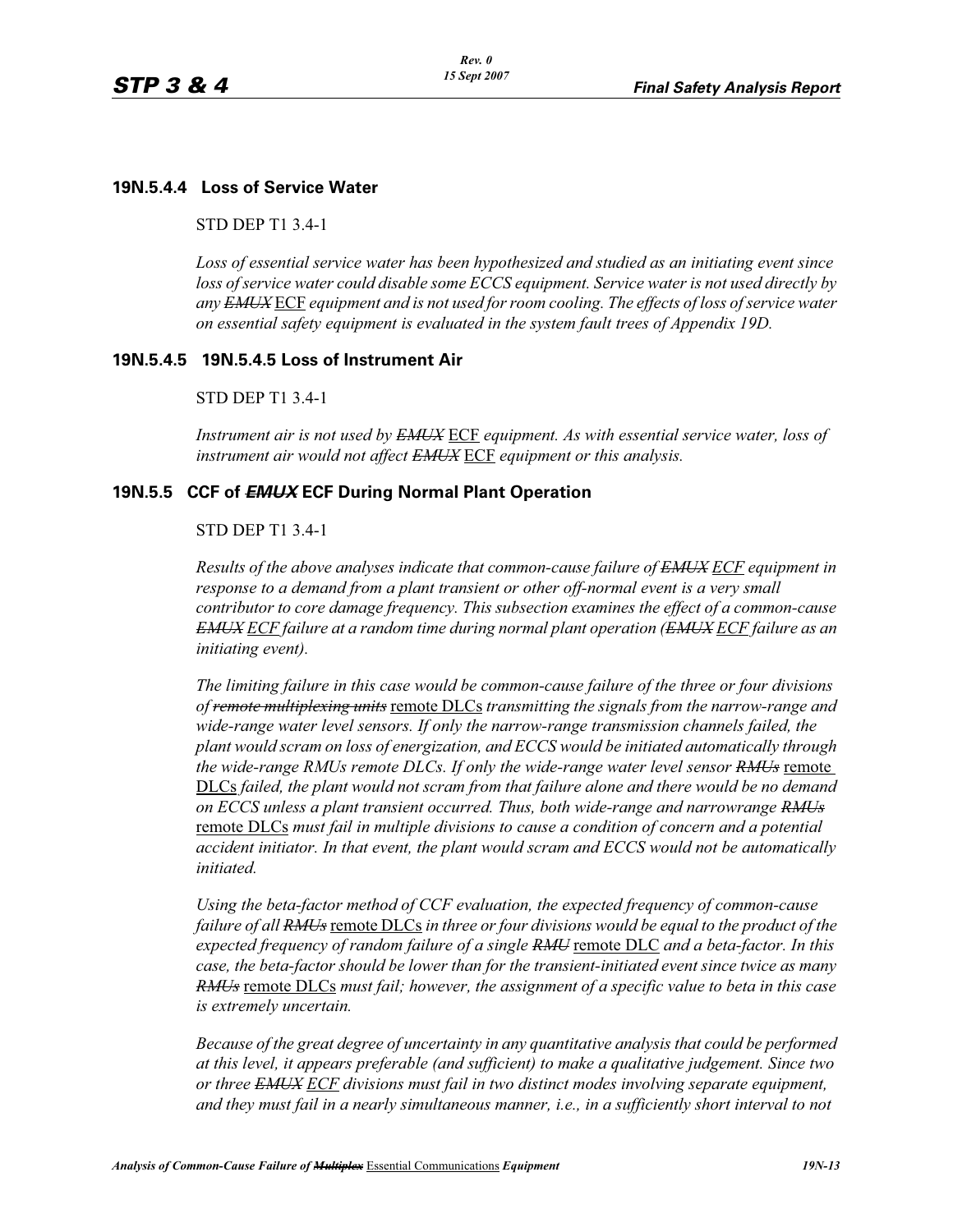# **19N.5.4.4 Loss of Service Water**

STD DEP T1 3.4-1

*Loss of essential service water has been hypothesized and studied as an initiating event since loss of service water could disable some ECCS equipment. Service water is not used directly by any EMUX* ECF *equipment and is not used for room cooling. The effects of loss of service water on essential safety equipment is evaluated in the system fault trees of Appendix 19D.* 

# **19N.5.4.5 19N.5.4.5 Loss of Instrument Air**

#### STD DEP T1 3.4-1

*Instrument air is not used by EMUX* ECF *equipment. As with essential service water, loss of instrument air would not affect EMUX* ECF *equipment or this analysis.* 

# **19N.5.5 CCF of** *EMUX* **ECF During Normal Plant Operation**

### STD DEP T1 3.4-1

*Results of the above analyses indicate that common-cause failure of EMUX ECF equipment in response to a demand from a plant transient or other off-normal event is a very small contributor to core damage frequency. This subsection examines the effect of a common-cause EMUX ECF failure at a random time during normal plant operation (EMUX ECF failure as an initiating event).* 

*The limiting failure in this case would be common-cause failure of the three or four divisions of remote multiplexing units* remote DLCs *transmitting the signals from the narrow-range and wide-range water level sensors. If only the narrow-range transmission channels failed, the plant would scram on loss of energization, and ECCS would be initiated automatically through the wide-range RMUs remote DLCs. If only the wide-range water level sensor RMUs* remote DLCs *failed, the plant would not scram from that failure alone and there would be no demand on ECCS unless a plant transient occurred. Thus, both wide-range and narrowrange RMUs* remote DLCs *must fail in multiple divisions to cause a condition of concern and a potential accident initiator. In that event, the plant would scram and ECCS would not be automatically initiated.* 

*Using the beta-factor method of CCF evaluation, the expected frequency of common-cause failure of all RMUs* remote DLCs *in three or four divisions would be equal to the product of the expected frequency of random failure of a single RMU* remote DLC *and a beta-factor. In this case, the beta-factor should be lower than for the transient-initiated event since twice as many RMUs* remote DLCs *must fail; however, the assignment of a specific value to beta in this case is extremely uncertain.* 

*Because of the great degree of uncertainty in any quantitative analysis that could be performed at this level, it appears preferable (and sufficient) to make a qualitative judgement. Since two or three EMUX ECF divisions must fail in two distinct modes involving separate equipment, and they must fail in a nearly simultaneous manner, i.e., in a sufficiently short interval to not*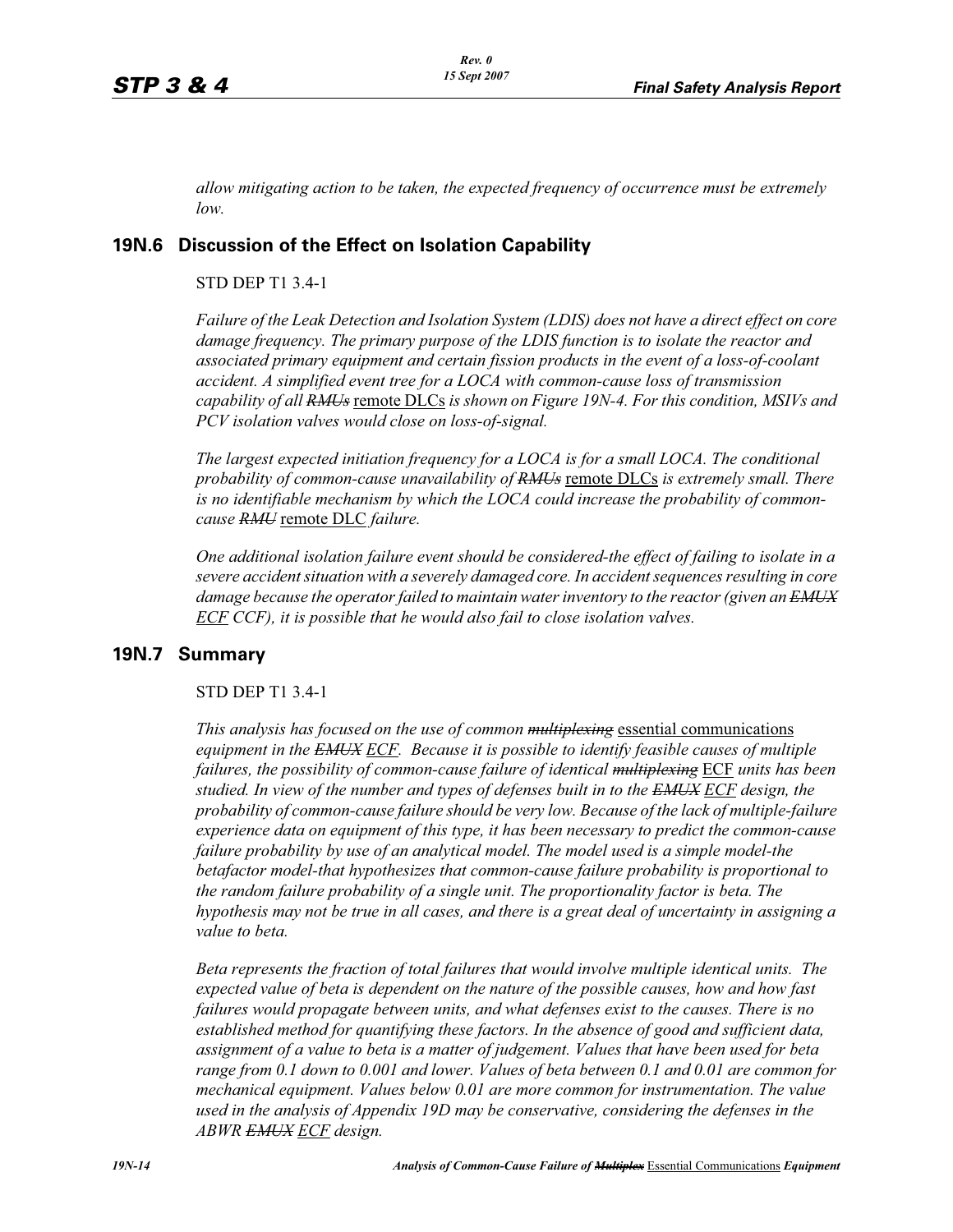*allow mitigating action to be taken, the expected frequency of occurrence must be extremely low.*

# **19N.6 Discussion of the Effect on Isolation Capability**

# STD DEP T1 3.4-1

*Failure of the Leak Detection and Isolation System (LDIS) does not have a direct effect on core damage frequency. The primary purpose of the LDIS function is to isolate the reactor and associated primary equipment and certain fission products in the event of a loss-of-coolant accident. A simplified event tree for a LOCA with common-cause loss of transmission*  capability of all RMU<sub>s</sub> remote DLCs is shown on Figure 19N-4. For this condition, MSIVs and *PCV isolation valves would close on loss-of-signal.* 

*The largest expected initiation frequency for a LOCA is for a small LOCA. The conditional probability of common-cause unavailability of RMUs* remote DLCs *is extremely small. There is no identifiable mechanism by which the LOCA could increase the probability of commoncause RMU* remote DLC *failure.*

*One additional isolation failure event should be considered-the effect of failing to isolate in a severe accident situation with a severely damaged core. In accident sequences resulting in core damage because the operator failed to maintain water inventory to the reactor (given an EMUX ECF CCF), it is possible that he would also fail to close isolation valves.*

# **19N.7 Summary**

# STD DEP T1 3.4-1

*This analysis has focused on the use of common multiplexing* essential communications *equipment in the EMUX ECF. Because it is possible to identify feasible causes of multiple failures, the possibility of common-cause failure of identical multiplexing* ECF *units has been studied. In view of the number and types of defenses built in to the EMUX ECF design, the probability of common-cause failure should be very low. Because of the lack of multiple-failure experience data on equipment of this type, it has been necessary to predict the common-cause failure probability by use of an analytical model. The model used is a simple model-the betafactor model-that hypothesizes that common-cause failure probability is proportional to the random failure probability of a single unit. The proportionality factor is beta. The hypothesis may not be true in all cases, and there is a great deal of uncertainty in assigning a value to beta.* 

*Beta represents the fraction of total failures that would involve multiple identical units. The expected value of beta is dependent on the nature of the possible causes, how and how fast failures would propagate between units, and what defenses exist to the causes. There is no established method for quantifying these factors. In the absence of good and sufficient data, assignment of a value to beta is a matter of judgement. Values that have been used for beta range from 0.1 down to 0.001 and lower. Values of beta between 0.1 and 0.01 are common for mechanical equipment. Values below 0.01 are more common for instrumentation. The value used in the analysis of Appendix 19D may be conservative, considering the defenses in the ABWR EMUX ECF design.*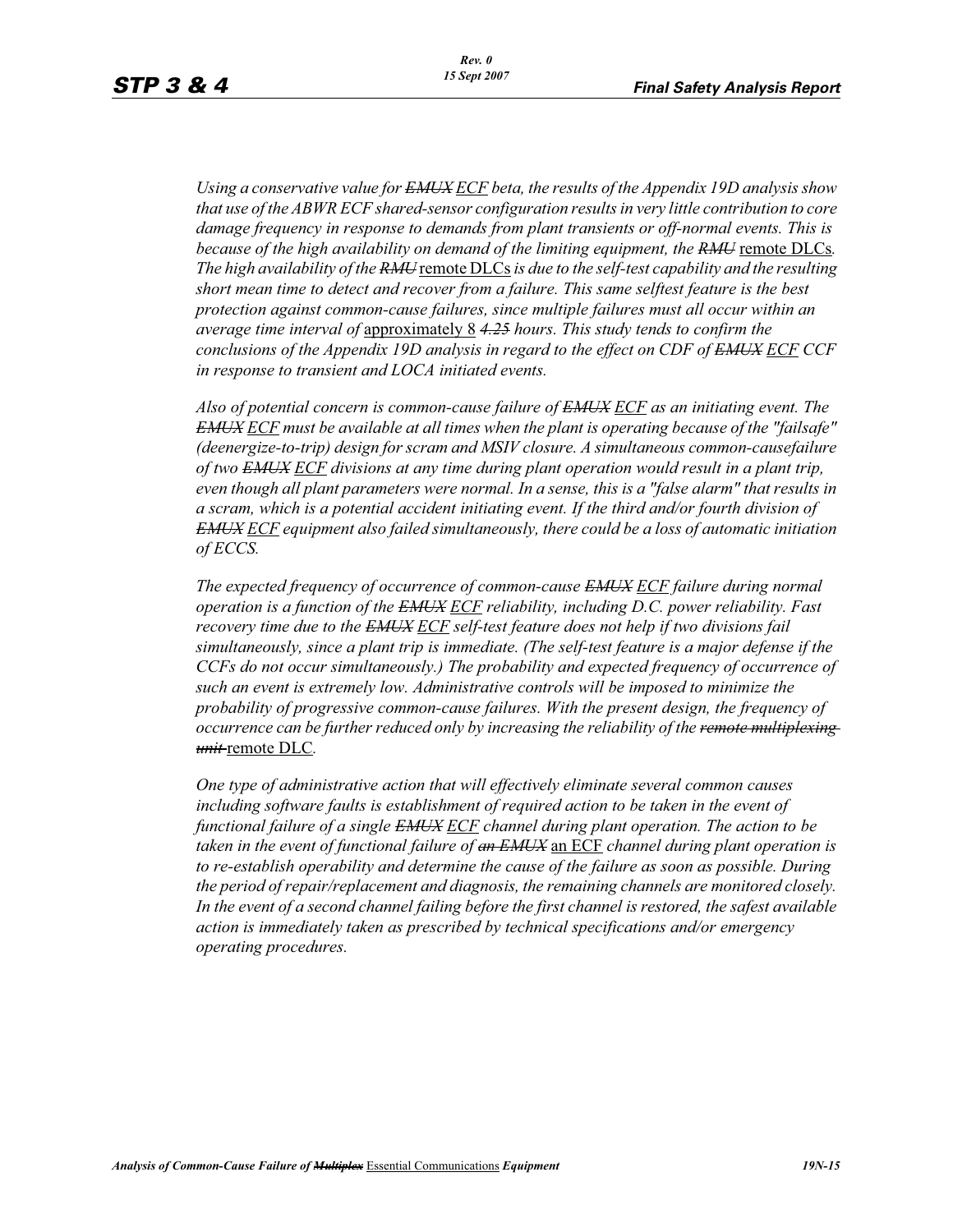*Using a conservative value for EMUX ECF beta, the results of the Appendix 19D analysis show that use of the ABWR ECF shared-sensor configuration results in very little contribution to core damage frequency in response to demands from plant transients or off-normal events. This is because of the high availability on demand of the limiting equipment, the RMU* remote DLCs. *The high availability of the RMU* remote DLCs is due to the self-test capability and the resulting *short mean time to detect and recover from a failure. This same selftest feature is the best protection against common-cause failures, since multiple failures must all occur within an average time interval of* approximately 8 *4.25 hours. This study tends to confirm the conclusions of the Appendix 19D analysis in regard to the effect on CDF of EMUX ECF CCF in response to transient and LOCA initiated events.*

*Also of potential concern is common-cause failure of EMUX ECF as an initiating event. The EMUX ECF must be available at all times when the plant is operating because of the "failsafe" (deenergize-to-trip) design for scram and MSIV closure. A simultaneous common-causefailure of two EMUX ECF divisions at any time during plant operation would result in a plant trip, even though all plant parameters were normal. In a sense, this is a "false alarm" that results in a scram, which is a potential accident initiating event. If the third and/or fourth division of EMUX ECF equipment also failed simultaneously, there could be a loss of automatic initiation of ECCS.* 

*The expected frequency of occurrence of common-cause EMUX ECF failure during normal operation is a function of the EMUX ECF reliability, including D.C. power reliability. Fast recovery time due to the EMUX ECF self-test feature does not help if two divisions fail simultaneously, since a plant trip is immediate. (The self-test feature is a major defense if the CCFs do not occur simultaneously.) The probability and expected frequency of occurrence of such an event is extremely low. Administrative controls will be imposed to minimize the probability of progressive common-cause failures. With the present design, the frequency of occurrence can be further reduced only by increasing the reliability of the remote multiplexing unit* remote DLC*.* 

*One type of administrative action that will effectively eliminate several common causes including software faults is establishment of required action to be taken in the event of functional failure of a single EMUX ECF channel during plant operation. The action to be taken in the event of functional failure of an EMUX* an ECF *channel during plant operation is to re-establish operability and determine the cause of the failure as soon as possible. During the period of repair/replacement and diagnosis, the remaining channels are monitored closely. In the event of a second channel failing before the first channel is restored, the safest available action is immediately taken as prescribed by technical specifications and/or emergency operating procedures.*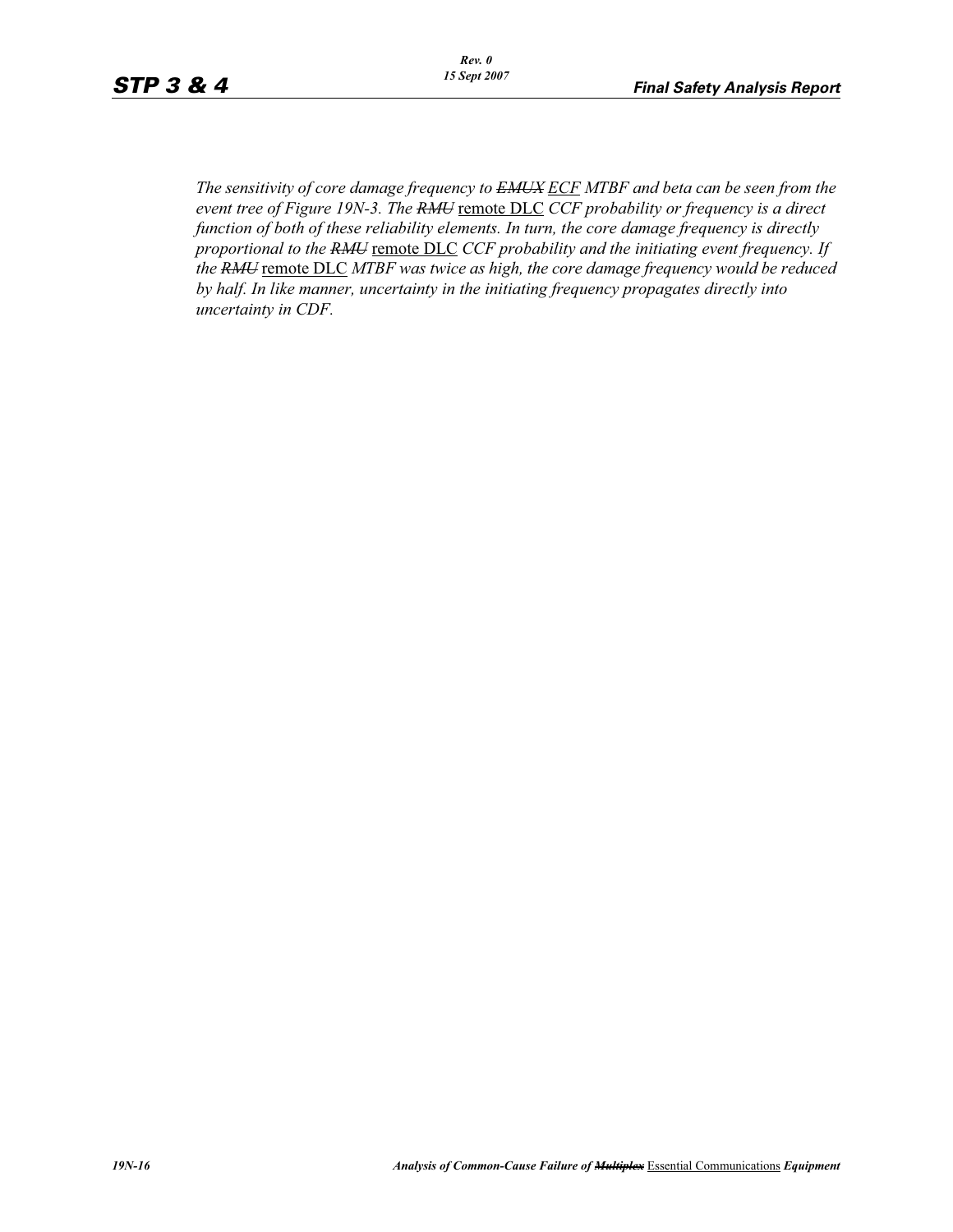*The sensitivity of core damage frequency to EMUX ECF MTBF and beta can be seen from the event tree of Figure 19N-3. The RMU* remote DLC *CCF probability or frequency is a direct function of both of these reliability elements. In turn, the core damage frequency is directly proportional to the RMU* remote DLC CCF probability and the initiating event frequency. If *the RMU* remote DLC *MTBF was twice as high, the core damage frequency would be reduced by half. In like manner, uncertainty in the initiating frequency propagates directly into uncertainty in CDF.*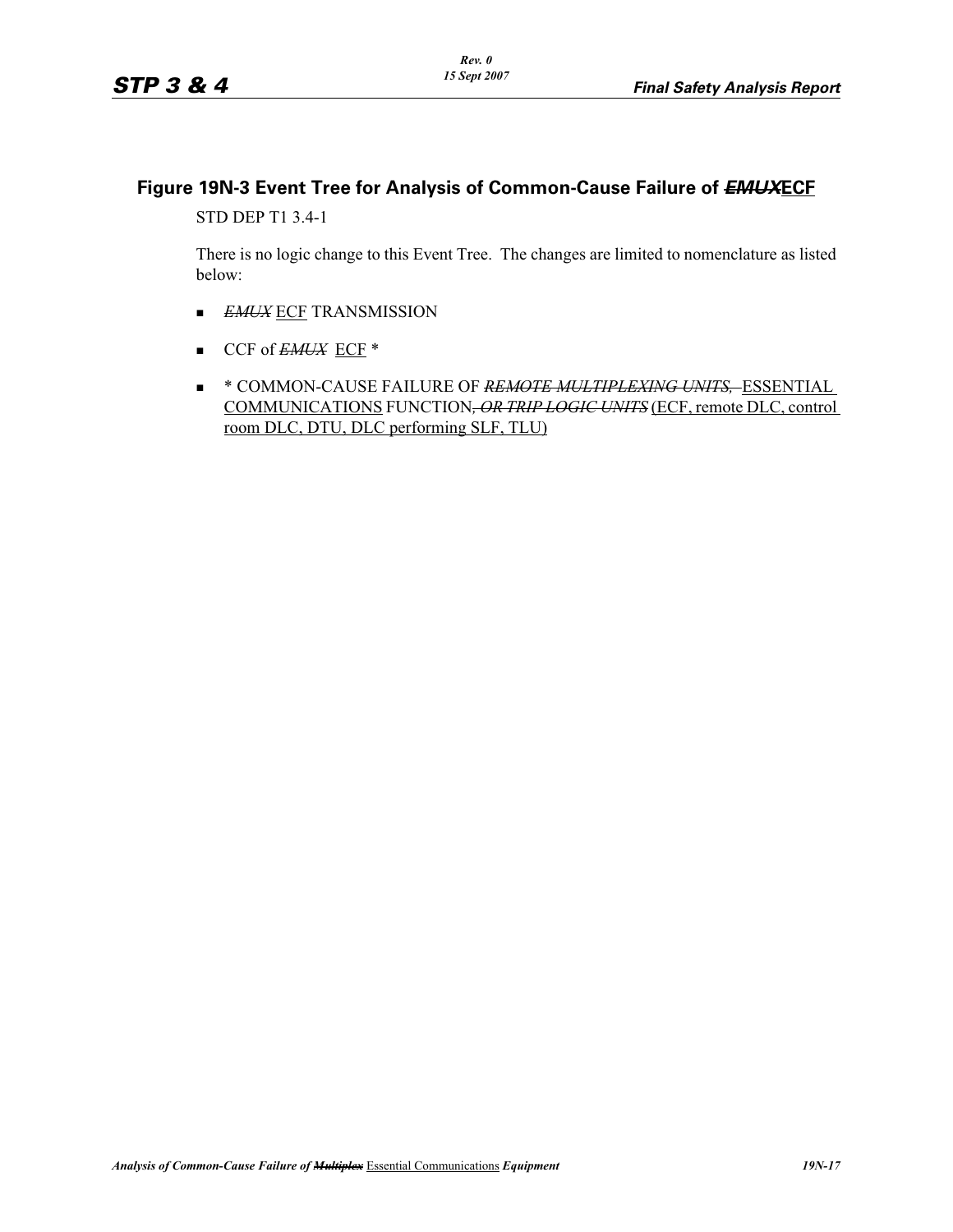# **Figure 19N-3 Event Tree for Analysis of Common-Cause Failure of** *EMUX***ECF**

STD DEP T1 3.4-1

There is no logic change to this Event Tree. The changes are limited to nomenclature as listed below:

- -*EMUX* ECF TRANSMISSION
- CCF of *EMUX* ECF \*
- \* COMMON-CAUSE FAILURE OF *REMOTE MULTIPLEXING UNITS,* ESSENTIAL COMMUNICATIONS FUNCTION*, OR TRIP LOGIC UNITS* (ECF, remote DLC, control room DLC, DTU, DLC performing SLF, TLU)